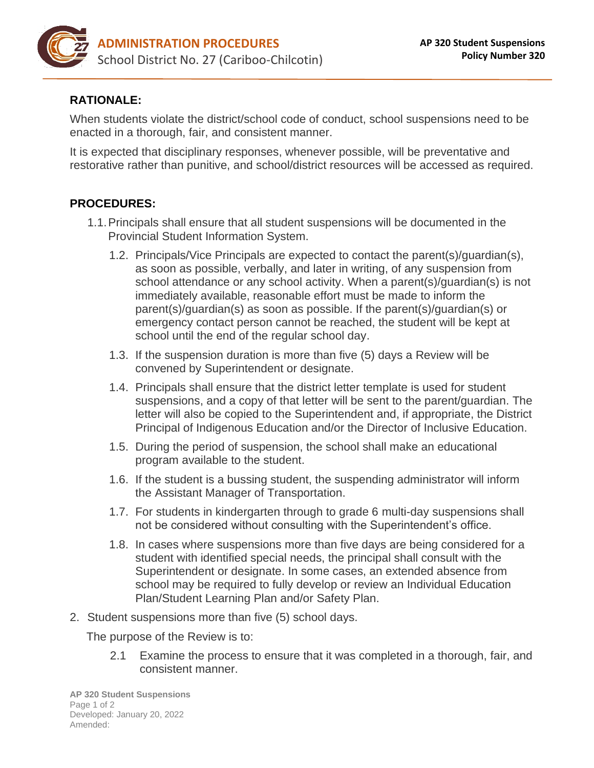

## **RATIONALE:**

When students violate the district/school code of conduct, school suspensions need to be enacted in a thorough, fair, and consistent manner.

It is expected that disciplinary responses, whenever possible, will be preventative and restorative rather than punitive, and school/district resources will be accessed as required.

## **PROCEDURES:**

- 1.1.Principals shall ensure that all student suspensions will be documented in the Provincial Student Information System.
	- 1.2. Principals/Vice Principals are expected to contact the parent(s)/guardian(s), as soon as possible, verbally, and later in writing, of any suspension from school attendance or any school activity. When a parent(s)/guardian(s) is not immediately available, reasonable effort must be made to inform the parent(s)/guardian(s) as soon as possible. If the parent(s)/guardian(s) or emergency contact person cannot be reached, the student will be kept at school until the end of the regular school day.
	- 1.3. If the suspension duration is more than five (5) days a Review will be convened by Superintendent or designate.
	- 1.4. Principals shall ensure that the district letter template is used for student suspensions, and a copy of that letter will be sent to the parent/guardian. The letter will also be copied to the Superintendent and, if appropriate, the District Principal of Indigenous Education and/or the Director of Inclusive Education.
	- 1.5. During the period of suspension, the school shall make an educational program available to the student.
	- 1.6. If the student is a bussing student, the suspending administrator will inform the Assistant Manager of Transportation.
	- 1.7. For students in kindergarten through to grade 6 multi-day suspensions shall not be considered without consulting with the Superintendent's office.
	- 1.8. In cases where suspensions more than five days are being considered for a student with identified special needs, the principal shall consult with the Superintendent or designate. In some cases, an extended absence from school may be required to fully develop or review an Individual Education Plan/Student Learning Plan and/or Safety Plan.
- 2. Student suspensions more than five (5) school days.

The purpose of the Review is to:

2.1 Examine the process to ensure that it was completed in a thorough, fair, and consistent manner.